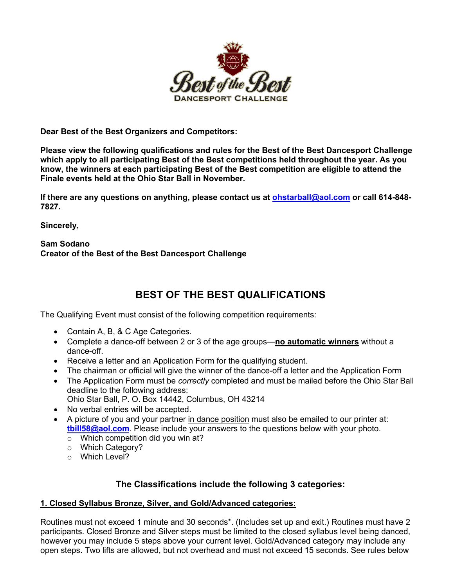

**Dear Best of the Best Organizers and Competitors:**

**Please view the following qualifications and rules for the Best of the Best Dancesport Challenge which apply to all participating Best of the Best competitions held throughout the year. As you know, the winners at each participating Best of the Best competition are eligible to attend the Finale events held at the Ohio Star Ball in November.**

**If there are any questions on anything, please contact us at ohstarball@aol.com or call 614-848- 7827.**

**Sincerely,**

### **Sam Sodano Creator of the Best of the Best Dancesport Challenge**

# **BEST OF THE BEST QUALIFICATIONS**

The Qualifying Event must consist of the following competition requirements:

- Contain A, B, & C Age Categories.
- Complete a dance-off between 2 or 3 of the age groups—**no automatic winners** without a dance-off.
- Receive a letter and an Application Form for the qualifying student.
- The chairman or official will give the winner of the dance-off a letter and the Application Form
- The Application Form must be *correctly* completed and must be mailed before the Ohio Star Ball deadline to the following address: Ohio Star Ball, P. O. Box 14442, Columbus, OH 43214
- No verbal entries will be accepted.
- A picture of you and your partner in dance position must also be emailed to our printer at: **tbill58@aol.com**. Please include your answers to the questions below with your photo.
	- o Which competition did you win at?
	- o Which Category?
	- o Which Level?

# **The Classifications include the following 3 categories:**

#### **1. Closed Syllabus Bronze, Silver, and Gold/Advanced categories:**

Routines must not exceed 1 minute and 30 seconds\*. (Includes set up and exit.) Routines must have 2 participants. Closed Bronze and Silver steps must be limited to the closed syllabus level being danced, however you may include 5 steps above your current level. Gold/Advanced category may include any open steps. Two lifts are allowed, but not overhead and must not exceed 15 seconds. See rules below